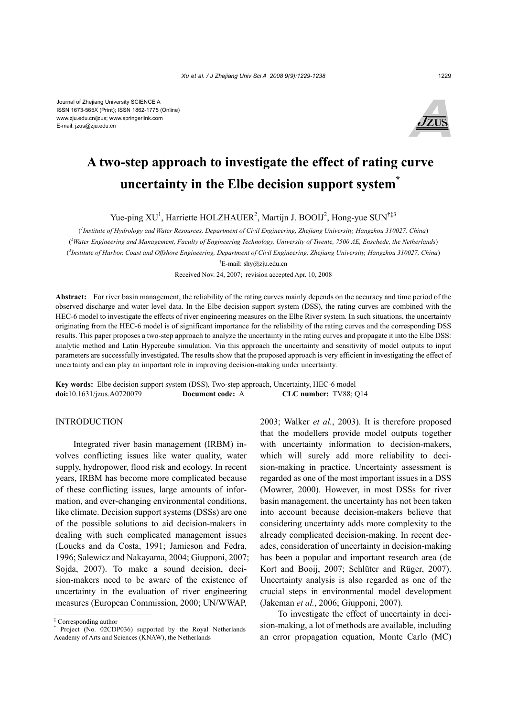

# **A two-step approach to investigate the effect of rating curve uncertainty in the Elbe decision support system\***

Yue-ping XU<sup>1</sup>, Harriette HOLZHAUER<sup>2</sup>, Martijn J. BOOIJ<sup>2</sup>, Hong-yue SUN<sup>†‡3</sup>

( *1 Institute of Hydrology and Water Resources, Department of Civil Engineering, Zhejiang University, Hangzhou 310027, China*) ( *2 Water Engineering and Management, Faculty of Engineering Technology, University of Twente, 7500 AE, Enschede, the Netherlands*) ( *3 Institute of Harbor, Coast and Offshore Engineering, Department of Civil Engineering, Zhejiang University, Hangzhou 310027, China*) † E-mail: shy@zju.edu.cn

Received Nov. 24, 2007; revision accepted Apr. 10, 2008

**Abstract:** For river basin management, the reliability of the rating curves mainly depends on the accuracy and time period of the observed discharge and water level data. In the Elbe decision support system (DSS), the rating curves are combined with the HEC-6 model to investigate the effects of river engineering measures on the Elbe River system. In such situations, the uncertainty originating from the HEC-6 model is of significant importance for the reliability of the rating curves and the corresponding DSS results. This paper proposes a two-step approach to analyze the uncertainty in the rating curves and propagate it into the Elbe DSS: analytic method and Latin Hypercube simulation. Via this approach the uncertainty and sensitivity of model outputs to input parameters are successfully investigated. The results show that the proposed approach is very efficient in investigating the effect of uncertainty and can play an important role in improving decision-making under uncertainty.

**Key words:** Elbe decision support system (DSS), Two-step approach, Uncertainty, HEC-6 model **doi:**10.1631/jzus.A0720079 **Document code:** A **CLC number:** TV88; Q14

## **INTRODUCTION**

Integrated river basin management (IRBM) involves conflicting issues like water quality, water supply, hydropower, flood risk and ecology. In recent years, IRBM has become more complicated because of these conflicting issues, large amounts of information, and ever-changing environmental conditions, like climate. Decision support systems (DSSs) are one of the possible solutions to aid decision-makers in dealing with such complicated management issues (Loucks and da Costa, 1991; Jamieson and Fedra, 1996; Salewicz and Nakayama, 2004; Giupponi, 2007; Sojda, 2007). To make a sound decision, decision-makers need to be aware of the existence of uncertainty in the evaluation of river engineering measures (European Commission, 2000; UN/WWAP,

2003; Walker *et al.*, 2003). It is therefore proposed that the modellers provide model outputs together with uncertainty information to decision-makers, which will surely add more reliability to decision-making in practice. Uncertainty assessment is regarded as one of the most important issues in a DSS (Mowrer, 2000). However, in most DSSs for river basin management, the uncertainty has not been taken into account because decision-makers believe that considering uncertainty adds more complexity to the already complicated decision-making. In recent decades, consideration of uncertainty in decision-making has been a popular and important research area (de Kort and Booij, 2007; Schlüter and Rüger, 2007). Uncertainty analysis is also regarded as one of the crucial steps in environmental model development (Jakeman *et al.*, 2006; Giupponi, 2007).

To investigate the effect of uncertainty in decision-making, a lot of methods are available, including an error propagation equation, Monte Carlo (MC)

<sup>‡</sup> Corresponding author

<sup>\*</sup> Project (No. 02CDP036) supported by the Royal Netherlands Academy of Arts and Sciences (KNAW), the Netherlands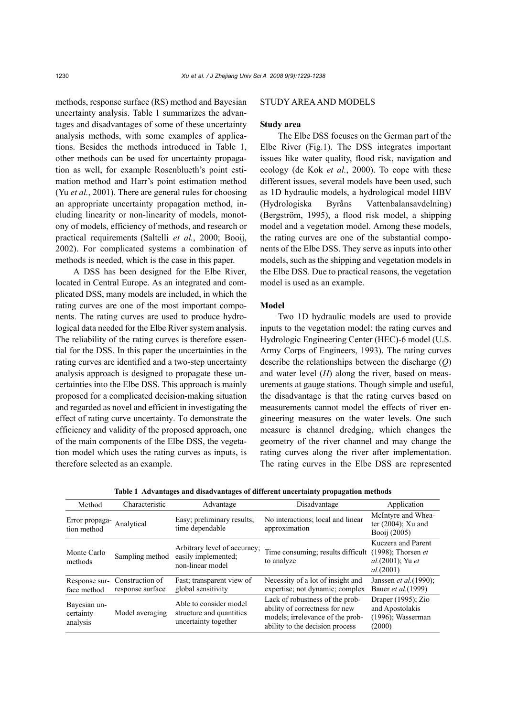methods, response surface (RS) method and Bayesian uncertainty analysis. Table 1 summarizes the advantages and disadvantages of some of these uncertainty analysis methods, with some examples of applications. Besides the methods introduced in Table 1, other methods can be used for uncertainty propagation as well, for example Rosenblueth's point estimation method and Harr's point estimation method (Yu *et al.*, 2001). There are general rules for choosing an appropriate uncertainty propagation method, including linearity or non-linearity of models, monotony of models, efficiency of methods, and research or practical requirements (Saltelli *et al.*, 2000; Booij, 2002). For complicated systems a combination of methods is needed, which is the case in this paper.

A DSS has been designed for the Elbe River, located in Central Europe. As an integrated and complicated DSS, many models are included, in which the rating curves are one of the most important components. The rating curves are used to produce hydrological data needed for the Elbe River system analysis. The reliability of the rating curves is therefore essential for the DSS. In this paper the uncertainties in the rating curves are identified and a two-step uncertainty analysis approach is designed to propagate these uncertainties into the Elbe DSS. This approach is mainly proposed for a complicated decision-making situation and regarded as novel and efficient in investigating the effect of rating curve uncertainty. To demonstrate the efficiency and validity of the proposed approach, one of the main components of the Elbe DSS, the vegetation model which uses the rating curves as inputs, is therefore selected as an example.

## STUDY AREA AND MODELS

## **Study area**

The Elbe DSS focuses on the German part of the Elbe River (Fig.1). The DSS integrates important issues like water quality, flood risk, navigation and ecology (de Kok *et al.*, 2000). To cope with these different issues, several models have been used, such as 1D hydraulic models, a hydrological model HBV (Hydrologiska Byråns Vattenbalansavdelning) (Bergström, 1995), a flood risk model, a shipping model and a vegetation model. Among these models, the rating curves are one of the substantial components of the Elbe DSS. They serve as inputs into other models, such as the shipping and vegetation models in the Elbe DSS. Due to practical reasons, the vegetation model is used as an example.

#### **Model**

Two 1D hydraulic models are used to provide inputs to the vegetation model: the rating curves and Hydrologic Engineering Center (HEC)-6 model (U.S. Army Corps of Engineers, 1993). The rating curves describe the relationships between the discharge (*Q*) and water level (*H*) along the river, based on measurements at gauge stations. Though simple and useful, the disadvantage is that the rating curves based on measurements cannot model the effects of river engineering measures on the water levels. One such measure is channel dredging, which changes the geometry of the river channel and may change the rating curves along the river after implementation. The rating curves in the Elbe DSS are represented

| raore i travamuljo anu ulsiu vanuljos or universite universiting propagation inventus |                                     |                                                                            |                                                                                                                                          |                                                                                                     |  |  |
|---------------------------------------------------------------------------------------|-------------------------------------|----------------------------------------------------------------------------|------------------------------------------------------------------------------------------------------------------------------------------|-----------------------------------------------------------------------------------------------------|--|--|
| Method                                                                                | Characteristic                      | Advantage                                                                  | Disadvantage                                                                                                                             | Application                                                                                         |  |  |
| Error propaga- Analytical<br>tion method                                              |                                     | Easy; preliminary results;<br>time dependable                              | No interactions; local and linear<br>approximation                                                                                       | McIntyre and Whea-<br>ter $(2004)$ ; Xu and<br>Booii (2005)                                         |  |  |
| Monte Carlo<br>methods                                                                | Sampling method                     | Arbitrary level of accuracy;<br>easily implemented;<br>non-linear model    | Time consuming; results difficult<br>to analyze                                                                                          | Kuczera and Parent<br>$(1998)$ ; Thorsen <i>et</i><br><i>al.</i> (2001); Yu <i>et</i><br>al. (2001) |  |  |
| Response sur-<br>face method                                                          | Construction of<br>response surface | Fast; transparent view of<br>global sensitivity                            | Necessity of a lot of insight and<br>expertise; not dynamic; complex                                                                     | Janssen et al. (1990);<br>Bauer <i>et al.</i> (1999)                                                |  |  |
| Bayesian un-<br>certainty<br>analysis                                                 | Model averaging                     | Able to consider model<br>structure and quantities<br>uncertainty together | Lack of robustness of the prob-<br>ability of correctness for new<br>models; irrelevance of the prob-<br>ability to the decision process | Draper $(1995)$ ; Zio<br>and Apostolakis<br>$(1996)$ ; Wasserman<br>(2000)                          |  |  |

**Table 1 Advantages and disadvantages of different uncertainty propagation methods**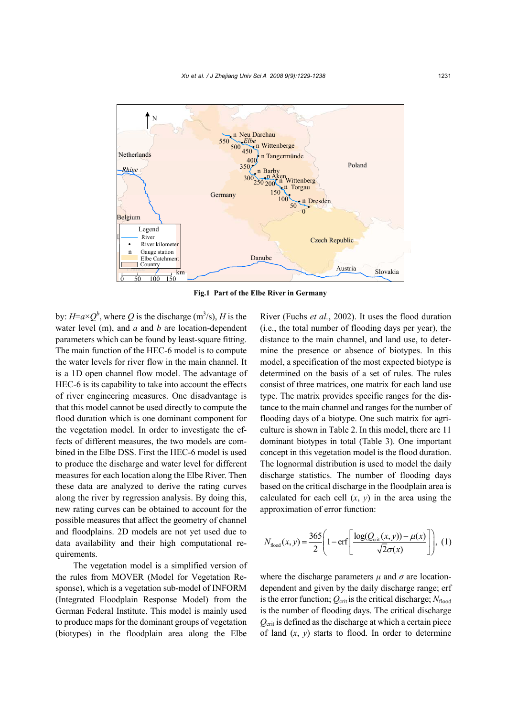

**Fig.1 Part of the Elbe River in Germany** 

by:  $H=a\times Q^b$ , where Q is the discharge (m<sup>3</sup>/s), H is the water level (m), and *a* and *b* are location-dependent parameters which can be found by least-square fitting. The main function of the HEC-6 model is to compute the water levels for river flow in the main channel. It is a 1D open channel flow model. The advantage of HEC-6 is its capability to take into account the effects of river engineering measures. One disadvantage is that this model cannot be used directly to compute the flood duration which is one dominant component for the vegetation model. In order to investigate the effects of different measures, the two models are combined in the Elbe DSS. First the HEC-6 model is used to produce the discharge and water level for different measures for each location along the Elbe River. Then these data are analyzed to derive the rating curves along the river by regression analysis. By doing this, new rating curves can be obtained to account for the possible measures that affect the geometry of channel and floodplains. 2D models are not yet used due to data availability and their high computational requirements.

The vegetation model is a simplified version of the rules from MOVER (Model for Vegetation Response), which is a vegetation sub-model of INFORM (Integrated Floodplain Response Model) from the German Federal Institute. This model is mainly used to produce maps for the dominant groups of vegetation (biotypes) in the floodplain area along the Elbe

River (Fuchs *et al.*, 2002). It uses the flood duration (i.e., the total number of flooding days per year), the distance to the main channel, and land use, to determine the presence or absence of biotypes. In this model, a specification of the most expected biotype is determined on the basis of a set of rules. The rules consist of three matrices, one matrix for each land use type. The matrix provides specific ranges for the distance to the main channel and ranges for the number of flooding days of a biotype. One such matrix for agriculture is shown in Table 2. In this model, there are 11 dominant biotypes in total (Table 3). One important concept in this vegetation model is the flood duration. The lognormal distribution is used to model the daily discharge statistics. The number of flooding days based on the critical discharge in the floodplain area is calculated for each cell  $(x, y)$  in the area using the approximation of error function:

$$
N_{\text{flood}}(x, y) = \frac{365}{2} \left( 1 - \text{erf}\left[ \frac{\log(Q_{\text{crit}}(x, y)) - \mu(x)}{\sqrt{2}\sigma(x)} \right] \right), (1)
$$

where the discharge parameters  $\mu$  and  $\sigma$  are locationdependent and given by the daily discharge range; erf is the error function;  $Q_{\text{crit}}$  is the critical discharge;  $N_{\text{flood}}$ is the number of flooding days. The critical discharge *Q*crit is defined as the discharge at which a certain piece of land  $(x, y)$  starts to flood. In order to determine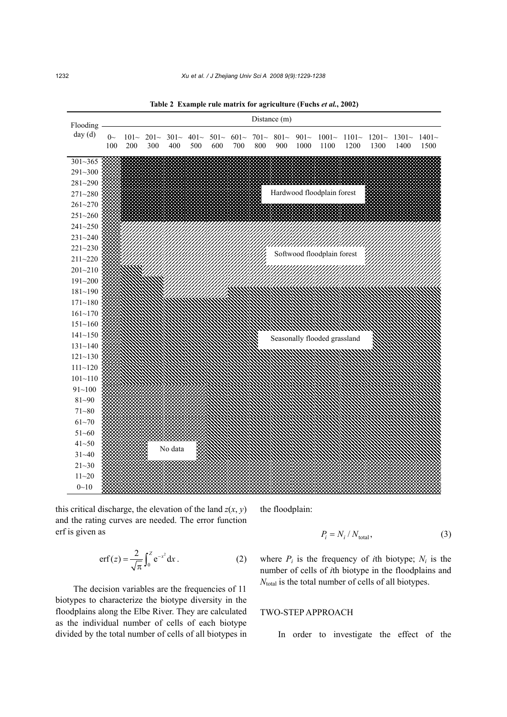**Table 2 Example rule matrix for agriculture (Fuchs** *et al.***, 2002)** 



this critical discharge, the elevation of the land  $z(x, y)$ and the rating curves are needed. The error function erf is given as

> 2  $erf(z) = \frac{2}{\sqrt{\pi}} \int_0^z e^{-x^2} dx$ . (2)

The decision variables are the frequencies of 11 biotypes to characterize the biotype diversity in the floodplains along the Elbe River. They are calculated as the individual number of cells of each biotype divided by the total number of cells of all biotypes in the floodplain:

$$
P_i = N_i / N_{\text{total}},\tag{3}
$$

where  $P_i$  is the frequency of *i*th biotype;  $N_i$  is the number of cells of *i*th biotype in the floodplains and *N*<sub>total</sub> is the total number of cells of all biotypes.

# TWO-STEP APPROACH

In order to investigate the effect of the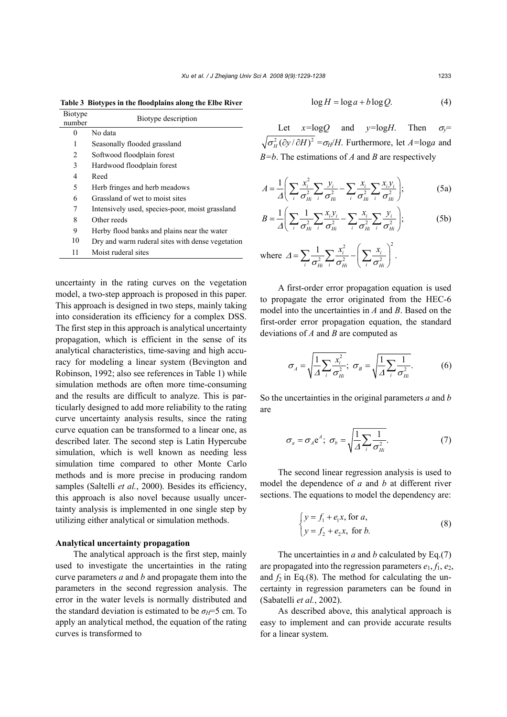| <b>Biotype</b><br>number | Biotype description                              |  |
|--------------------------|--------------------------------------------------|--|
| 0                        | No data                                          |  |
| 1                        | Seasonally flooded grassland                     |  |
| 2                        | Softwood floodplain forest                       |  |
| 3                        | Hardwood floodplain forest                       |  |
| 4                        | Reed                                             |  |
| 5                        | Herb fringes and herb meadows                    |  |
| 6                        | Grassland of wet to moist sites                  |  |
| 7                        | Intensively used, species-poor, moist grassland  |  |
| 8                        | Other reeds                                      |  |
| 9                        | Herby flood banks and plains near the water      |  |
| 10                       | Dry and warm ruderal sites with dense vegetation |  |
| 11                       | Moist ruderal sites                              |  |

**Table 3 Biotypes in the floodplains along the Elbe River**

uncertainty in the rating curves on the vegetation model, a two-step approach is proposed in this paper. This approach is designed in two steps, mainly taking into consideration its efficiency for a complex DSS. The first step in this approach is analytical uncertainty propagation, which is efficient in the sense of its analytical characteristics, time-saving and high accuracy for modeling a linear system (Bevington and Robinson, 1992; also see references in Table 1) while simulation methods are often more time-consuming and the results are difficult to analyze. This is particularly designed to add more reliability to the rating curve uncertainty analysis results, since the rating curve equation can be transformed to a linear one, as described later. The second step is Latin Hypercube simulation, which is well known as needing less simulation time compared to other Monte Carlo methods and is more precise in producing random samples (Saltelli *et al.*, 2000). Besides its efficiency, this approach is also novel because usually uncertainty analysis is implemented in one single step by utilizing either analytical or simulation methods.

## **Analytical uncertainty propagation**

The analytical approach is the first step, mainly used to investigate the uncertainties in the rating curve parameters *a* and *b* and propagate them into the parameters in the second regression analysis. The error in the water levels is normally distributed and the standard deviation is estimated to be  $\sigma_H = 5$  cm. To apply an analytical method, the equation of the rating curves is transformed to

$$
\log H = \log a + b \log Q. \tag{4}
$$

Let  $x = \log Q$  and  $y = \log H$ . Then  $\sigma_y =$  $\sqrt{\sigma_u^2(\partial y/\partial H)^2} = \sigma_H/H$ . Furthermore, let  $A = \log a$  and *B=b*. The estimations of *A* and *B* are respectively

$$
A = \frac{1}{\Delta} \left( \sum_{i} \frac{x_i^2}{\sigma_{Hi}^2} \sum_{i} \frac{y_i}{\sigma_{Hi}^2} - \sum_{i} \frac{x_i}{\sigma_{Hi}^2} \sum_{i} \frac{x_i y_i}{\sigma_{Hi}^2} \right);
$$
 (5a)

$$
B = \frac{1}{\varDelta} \Bigg( \sum_{i} \frac{1}{\sigma_{Hi}^2} \sum_{i} \frac{x_i y_i}{\sigma_{Hi}^2} - \sum_{i} \frac{x_i}{\sigma_{Hi}^2} \sum_{i} \frac{y_i}{\sigma_{Hi}^2} \Bigg); \tag{5b}
$$

where 
$$
\Delta = \sum_{i} \frac{1}{\sigma_{Hi}^2} \sum_{i} \frac{x_i^2}{\sigma_{Hi}^2} - \left(\sum_{i} \frac{x_i}{\sigma_{Hi}^2}\right)^2
$$
.

A first-order error propagation equation is used to propagate the error originated from the HEC-6 model into the uncertainties in *A* and *B*. Based on the first-order error propagation equation, the standard deviations of *A* and *B* are computed as

$$
\sigma_A = \sqrt{\frac{1}{\Delta} \sum_i \frac{x_i^2}{\sigma_{Hi}^2}}; \ \sigma_B = \sqrt{\frac{1}{\Delta} \sum_i \frac{1}{\sigma_{Hi}^2}}.
$$
 (6)

So the uncertainties in the original parameters *a* and *b* are

$$
\sigma_a = \sigma_A e^A; \ \sigma_b = \sqrt{\frac{1}{\Delta} \sum_i \frac{1}{\sigma_{Hi}^2}}.
$$
 (7)

The second linear regression analysis is used to model the dependence of *a* and *b* at different river sections. The equations to model the dependency are:

$$
\begin{cases}\ny = f_1 + e_1 x, \text{ for } a, \\
y = f_2 + e_2 x, \text{ for } b.\n\end{cases}
$$
\n(8)

The uncertainties in *a* and *b* calculated by Eq.(7) are propagated into the regression parameters  $e_1$ ,  $f_1$ ,  $e_2$ , and  $f_2$  in Eq.(8). The method for calculating the uncertainty in regression parameters can be found in (Sabatelli *et al.*, 2002).

As described above, this analytical approach is easy to implement and can provide accurate results for a linear system.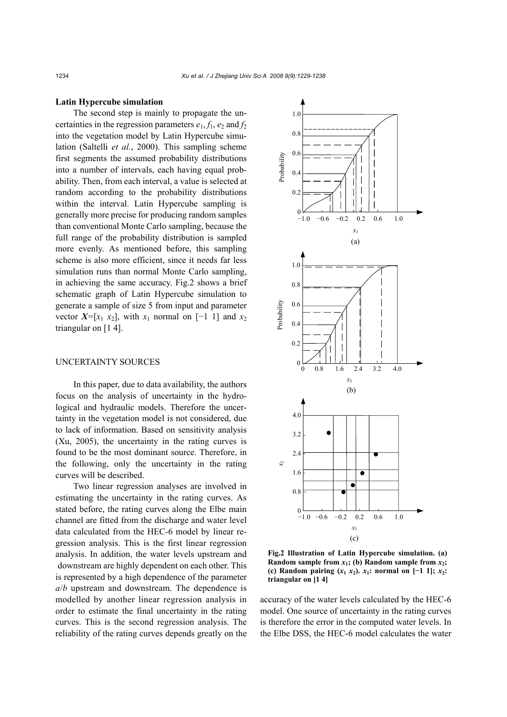## **Latin Hypercube simulation**

The second step is mainly to propagate the uncertainties in the regression parameters  $e_1$ ,  $f_1$ ,  $e_2$  and  $f_2$ into the vegetation model by Latin Hypercube simulation (Saltelli *et al.*, 2000). This sampling scheme first segments the assumed probability distributions into a number of intervals, each having equal probability. Then, from each interval, a value is selected at random according to the probability distributions within the interval. Latin Hypercube sampling is generally more precise for producing random samples than conventional Monte Carlo sampling, because the full range of the probability distribution is sampled more evenly. As mentioned before, this sampling scheme is also more efficient, since it needs far less simulation runs than normal Monte Carlo sampling, in achieving the same accuracy. Fig.2 shows a brief schematic graph of Latin Hypercube simulation to generate a sample of size 5 from input and parameter vector  $X=[x_1, x_2]$ , with  $x_1$  normal on [−1 1] and  $x_2$ triangular on [1 4].

# UNCERTAINTY SOURCES

In this paper, due to data availability, the authors focus on the analysis of uncertainty in the hydrological and hydraulic models. Therefore the uncertainty in the vegetation model is not considered, due to lack of information. Based on sensitivity analysis (Xu, 2005), the uncertainty in the rating curves is found to be the most dominant source. Therefore, in the following, only the uncertainty in the rating curves will be described.

Two linear regression analyses are involved in estimating the uncertainty in the rating curves. As stated before, the rating curves along the Elbe main channel are fitted from the discharge and water level data calculated from the HEC-6 model by linear regression analysis. This is the first linear regression analysis. In addition, the water levels upstream and downstream are highly dependent on each other. This is represented by a high dependence of the parameter *a*/*b* upstream and downstream. The dependence is modelled by another linear regression analysis in order to estimate the final uncertainty in the rating curves. This is the second regression analysis. The reliability of the rating curves depends greatly on the



**Fig.2 Illustration of Latin Hypercube simulation. (a) Random sample from**  $x_1$ **; (b) Random sample from**  $x_2$ **; (c) Random pairing**  $(x_1, x_2)$ **.**  $x_1$ **: normal on**  $[-1, 1]$ **;**  $x_2$ **: triangular on [1 4]** 

accuracy of the water levels calculated by the HEC-6 model. One source of uncertainty in the rating curves is therefore the error in the computed water levels. In the Elbe DSS, the HEC-6 model calculates the water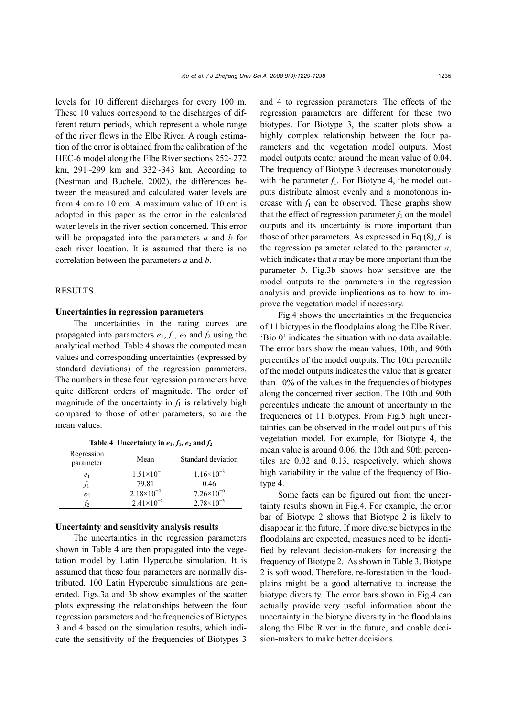levels for 10 different discharges for every 100 m. These 10 values correspond to the discharges of different return periods, which represent a whole range of the river flows in the Elbe River. A rough estimation of the error is obtained from the calibration of the HEC-6 model along the Elbe River sections 252~272 km, 291~299 km and 332~343 km. According to (Nestman and Buchele, 2002), the differences between the measured and calculated water levels are from 4 cm to 10 cm. A maximum value of 10 cm is adopted in this paper as the error in the calculated water levels in the river section concerned. This error will be propagated into the parameters *a* and *b* for each river location. It is assumed that there is no correlation between the parameters *a* and *b*.

# **RESULTS**

#### **Uncertainties in regression parameters**

The uncertainties in the rating curves are propagated into parameters  $e_1$ ,  $f_1$ ,  $e_2$  and  $f_2$  using the analytical method. Table 4 shows the computed mean values and corresponding uncertainties (expressed by standard deviations) of the regression parameters. The numbers in these four regression parameters have quite different orders of magnitude. The order of magnitude of the uncertainty in  $f_1$  is relatively high compared to those of other parameters, so are the mean values.

| Regression<br>parameter | Mean                 | Standard deviation    |
|-------------------------|----------------------|-----------------------|
| e <sub>1</sub>          | $-1.51\times10^{-1}$ | $1.16\times10^{-3}$   |
|                         | 79.81                | 0.46                  |
| e <sub>2</sub>          | $2.18\times10^{-4}$  | $7.26 \times 10^{-6}$ |
|                         | $-2.41\times10^{-2}$ | $2.78 \times 10^{-3}$ |

Table 4 Uncertainty in  $e_1$ ,  $f_1$ ,  $e_2$  and  $f_2$ 

## **Uncertainty and sensitivity analysis results**

The uncertainties in the regression parameters shown in Table 4 are then propagated into the vegetation model by Latin Hypercube simulation. It is assumed that these four parameters are normally distributed. 100 Latin Hypercube simulations are generated. Figs.3a and 3b show examples of the scatter plots expressing the relationships between the four regression parameters and the frequencies of Biotypes 3 and 4 based on the simulation results, which indicate the sensitivity of the frequencies of Biotypes 3

and 4 to regression parameters. The effects of the regression parameters are different for these two biotypes. For Biotype 3, the scatter plots show a highly complex relationship between the four parameters and the vegetation model outputs. Most model outputs center around the mean value of 0.04. The frequency of Biotype 3 decreases monotonously with the parameter  $f_1$ . For Biotype 4, the model outputs distribute almost evenly and a monotonous increase with  $f_1$  can be observed. These graphs show that the effect of regression parameter  $f_1$  on the model outputs and its uncertainty is more important than those of other parameters. As expressed in Eq.(8),  $f_1$  is the regression parameter related to the parameter *a*, which indicates that *a* may be more important than the parameter *b*. Fig.3b shows how sensitive are the model outputs to the parameters in the regression analysis and provide implications as to how to improve the vegetation model if necessary.

Fig.4 shows the uncertainties in the frequencies of 11 biotypes in the floodplains along the Elbe River. 'Bio 0' indicates the situation with no data available. The error bars show the mean values, 10th, and 90th percentiles of the model outputs. The 10th percentile of the model outputs indicates the value that is greater than 10% of the values in the frequencies of biotypes along the concerned river section. The 10th and 90th percentiles indicate the amount of uncertainty in the frequencies of 11 biotypes. From Fig.5 high uncertainties can be observed in the model out puts of this vegetation model. For example, for Biotype 4, the mean value is around 0.06; the 10th and 90th percentiles are 0.02 and 0.13, respectively, which shows high variability in the value of the frequency of Biotype 4.

Some facts can be figured out from the uncertainty results shown in Fig.4. For example, the error bar of Biotype 2 shows that Biotype 2 is likely to disappear in the future. If more diverse biotypes in the floodplains are expected, measures need to be identified by relevant decision-makers for increasing the frequency of Biotype 2. As shown in Table 3, Biotype 2 is soft wood. Therefore, re-forestation in the floodplains might be a good alternative to increase the biotype diversity. The error bars shown in Fig.4 can actually provide very useful information about the uncertainty in the biotype diversity in the floodplains along the Elbe River in the future, and enable decision-makers to make better decisions.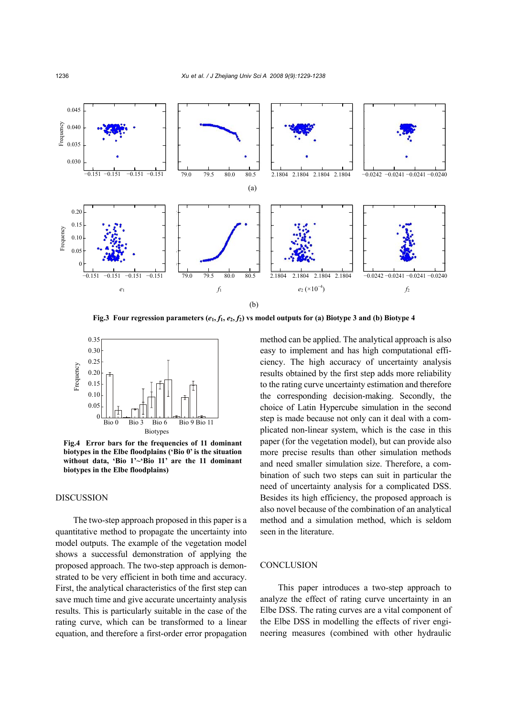

**Fig.3** Four regression parameters  $(e_1, f_1, e_2, f_2)$  vs model outputs for (a) Biotype 3 and (b) Biotype 4



**Fig.4 Error bars for the frequencies of 11 dominant biotypes in the Elbe floodplains ('Bio 0' is the situation without data, 'Bio 1'~'Bio 11' are the 11 dominant biotypes in the Elbe floodplains)**

# DISCUSSION

The two-step approach proposed in this paper is a quantitative method to propagate the uncertainty into model outputs. The example of the vegetation model shows a successful demonstration of applying the proposed approach. The two-step approach is demonstrated to be very efficient in both time and accuracy. First, the analytical characteristics of the first step can save much time and give accurate uncertainty analysis results. This is particularly suitable in the case of the rating curve, which can be transformed to a linear equation, and therefore a first-order error propagation

method can be applied. The analytical approach is also easy to implement and has high computational efficiency. The high accuracy of uncertainty analysis results obtained by the first step adds more reliability to the rating curve uncertainty estimation and therefore the corresponding decision-making. Secondly, the choice of Latin Hypercube simulation in the second step is made because not only can it deal with a complicated non-linear system, which is the case in this paper (for the vegetation model), but can provide also more precise results than other simulation methods and need smaller simulation size. Therefore, a combination of such two steps can suit in particular the need of uncertainty analysis for a complicated DSS. Besides its high efficiency, the proposed approach is also novel because of the combination of an analytical method and a simulation method, which is seldom seen in the literature.

# **CONCLUSION**

This paper introduces a two-step approach to analyze the effect of rating curve uncertainty in an Elbe DSS. The rating curves are a vital component of the Elbe DSS in modelling the effects of river engineering measures (combined with other hydraulic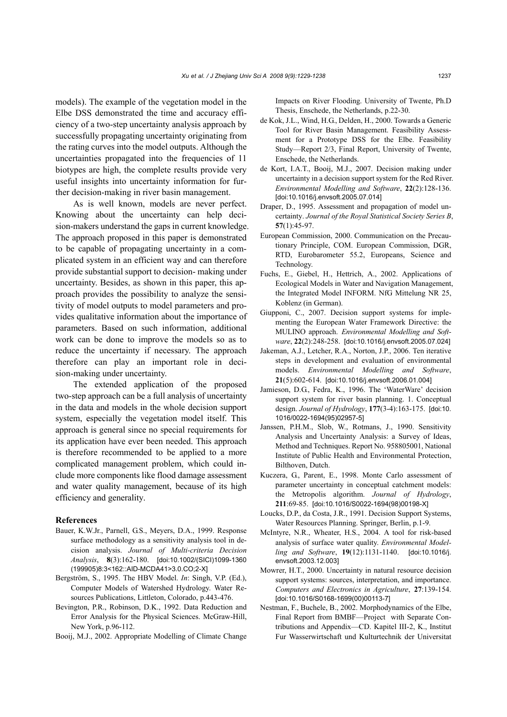models). The example of the vegetation model in the Elbe DSS demonstrated the time and accuracy efficiency of a two-step uncertainty analysis approach by successfully propagating uncertainty originating from the rating curves into the model outputs. Although the uncertainties propagated into the frequencies of 11 biotypes are high, the complete results provide very useful insights into uncertainty information for further decision-making in river basin management.

As is well known, models are never perfect. Knowing about the uncertainty can help decision-makers understand the gaps in current knowledge. The approach proposed in this paper is demonstrated to be capable of propagating uncertainty in a complicated system in an efficient way and can therefore provide substantial support to decision- making under uncertainty. Besides, as shown in this paper, this approach provides the possibility to analyze the sensitivity of model outputs to model parameters and provides qualitative information about the importance of parameters. Based on such information, additional work can be done to improve the models so as to reduce the uncertainty if necessary. The approach therefore can play an important role in decision-making under uncertainty.

The extended application of the proposed two-step approach can be a full analysis of uncertainty in the data and models in the whole decision support system, especially the vegetation model itself. This approach is general since no special requirements for its application have ever been needed. This approach is therefore recommended to be applied to a more complicated management problem, which could include more components like flood damage assessment and water quality management, because of its high efficiency and generality.

#### **References**

- Bauer, K.W.Jr., Parnell, G.S., Meyers, D.A., 1999. Response surface methodology as a sensitivity analysis tool in decision analysis. *Journal of Multi-criteria Decision Analysis*, **8**(3):162-180. [doi:10.1002/(SICI)1099-1360 (199905)8:3<162::AID-MCDA41>3.0.CO;2-X]
- Bergström, S., 1995. The HBV Model. *In*: Singh, V.P. (Ed.), Computer Models of Watershed Hydrology. Water Resources Publications, Littleton, Colorado, p.443-476.
- Bevington, P.R., Robinson, D.K., 1992. Data Reduction and Error Analysis for the Physical Sciences. McGraw-Hill, New York, p.96-112.
- Booij, M.J., 2002. Appropriate Modelling of Climate Change

Impacts on River Flooding. University of Twente, Ph.D Thesis, Enschede, the Netherlands, p.22-30.

- de Kok, J.L., Wind, H.G., Delden, H., 2000. Towards a Generic Tool for River Basin Management. Feasibility Assessment for a Prototype DSS for the Elbe. Feasibility Study—Report 2/3, Final Report, University of Twente, Enschede, the Netherlands.
- de Kort, I.A.T., Booij, M.J., 2007. Decision making under uncertainty in a decision support system for the Red River. *Environmental Modelling and Software*, **22**(2):128-136. [doi:10.1016/j.envsoft.2005.07.014]
- Draper, D., 1995. Assessment and propagation of model uncertainty. *Journal of the Royal Statistical Society Series B*, **57**(1):45-97.
- European Commission, 2000. Communication on the Precautionary Principle, COM. European Commission, DGR, RTD, Eurobarometer 55.2, Europeans, Science and Technology.
- Fuchs, E., Giebel, H., Hettrich, A., 2002. Applications of Ecological Models in Water and Navigation Management, the Integrated Model INFORM. NfG Mittelung NR 25, Koblenz (in German).
- Giupponi, C., 2007. Decision support systems for implementing the European Water Framework Directive: the MULINO approach. *Environmental Modelling and Software*, **22**(2):248-258. [doi:10.1016/j.envsoft.2005.07.024]
- Jakeman, A.J., Letcher, R.A., Norton, J.P., 2006. Ten iterative steps in development and evaluation of environmental models. *Environmental Modelling and Software*, **21**(5):602-614. [doi:10.1016/j.envsoft.2006.01.004]
- Jamieson, D.G., Fedra, K., 1996. The 'WaterWare' decision support system for river basin planning. 1. Conceptual design. *Journal of Hydrology*, **177**(3-4):163-175. [doi:10. 1016/0022-1694(95)02957-5]
- Janssen, P.H.M., Slob, W., Rotmans, J., 1990. Sensitivity Analysis and Uncertainty Analysis: a Survey of Ideas, Method and Techniques. Report No. 958805001, National Institute of Public Health and Environmental Protection, Bilthoven, Dutch.
- Kuczera, G., Parent, E., 1998. Monte Carlo assessment of parameter uncertainty in conceptual catchment models: the Metropolis algorithm. *Journal of Hydrology*, **211**:69-85. [doi:10.1016/S0022-1694(98)00198-X]
- Loucks, D.P., da Costa, J.R., 1991. Decision Support Systems, Water Resources Planning. Springer, Berlin, p.1-9.
- McIntyre, N.R., Wheater, H.S., 2004. A tool for risk-based analysis of surface water quality. *Environmental Modelling and Software*, **19**(12):1131-1140. [doi:10.1016/j. envsoft.2003.12.003]
- Mowrer, H.T., 2000. Uncertainty in natural resource decision support systems: sources, interpretation, and importance. *Computers and Electronics in Agriculture*, **27**:139-154. [doi:10.1016/S0168-1699(00)00113-7]
- Nestman, F., Buchele, B., 2002. Morphodynamics of the Elbe, Final Report from BMBF—Project with Separate Contributions and Appendix—CD. Kapitel III-2, K., Institut Fur Wasserwirtschaft und Kulturtechnik der Universitat